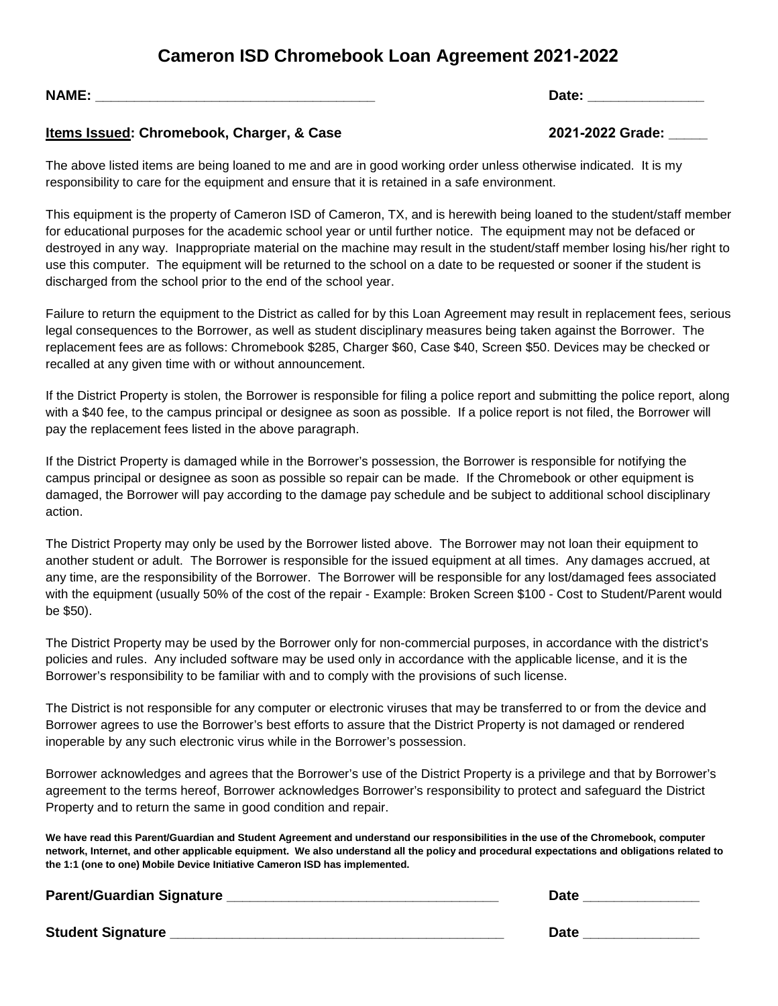**NAME: \_\_\_\_\_\_\_\_\_\_\_\_\_\_\_\_\_\_\_\_\_\_\_\_\_\_\_\_\_\_\_\_\_\_\_\_**

### **Date: \_\_\_\_\_\_\_\_\_\_\_\_\_\_\_**

**2021-2022 Grade: \_\_\_\_\_**

#### **Items Issued: Chromebook, Charger, & Case**

The above listed items are being loaned to me and are in good working order unless otherwise indicated. It is my responsibility to care for the equipment and ensure that it is retained in a safe environment.

This equipment is the property of Cameron ISD of Cameron, TX, and is herewith being loaned to the student/staff member for educational purposes for the academic school year or until further notice. The equipment may not be defaced or destroyed in any way. Inappropriate material on the machine may result in the student/staff member losing his/her right to use this computer. The equipment will be returned to the school on a date to be requested or sooner if the student is discharged from the school prior to the end of the school year.

Failure to return the equipment to the District as called for by this Loan Agreement may result in replacement fees, serious legal consequences to the Borrower, as well as student disciplinary measures being taken against the Borrower. The replacement fees are as follows: Chromebook \$285, Charger \$60, Case \$40, Screen \$50. Devices may be checked or recalled at any given time with or without announcement.

If the District Property is stolen, the Borrower is responsible for filing a police report and submitting the police report, along with a \$40 fee, to the campus principal or designee as soon as possible. If a police report is not filed, the Borrower will pay the replacement fees listed in the above paragraph.

If the District Property is damaged while in the Borrower's possession, the Borrower is responsible for notifying the campus principal or designee as soon as possible so repair can be made. If the Chromebook or other equipment is damaged, the Borrower will pay according to the damage pay schedule and be subject to additional school disciplinary action.

The District Property may only be used by the Borrower listed above. The Borrower may not loan their equipment to another student or adult. The Borrower is responsible for the issued equipment at all times. Any damages accrued, at any time, are the responsibility of the Borrower. The Borrower will be responsible for any lost/damaged fees associated with the equipment (usually 50% of the cost of the repair - Example: Broken Screen \$100 - Cost to Student/Parent would be \$50).

The District Property may be used by the Borrower only for non-commercial purposes, in accordance with the district's policies and rules. Any included software may be used only in accordance with the applicable license, and it is the Borrower's responsibility to be familiar with and to comply with the provisions of such license.

The District is not responsible for any computer or electronic viruses that may be transferred to or from the device and Borrower agrees to use the Borrower's best efforts to assure that the District Property is not damaged or rendered inoperable by any such electronic virus while in the Borrower's possession.

Borrower acknowledges and agrees that the Borrower's use of the District Property is a privilege and that by Borrower's agreement to the terms hereof, Borrower acknowledges Borrower's responsibility to protect and safeguard the District Property and to return the same in good condition and repair.

**We have read this Parent/Guardian and Student Agreement and understand our responsibilities in the use of the Chromebook, computer network, Internet, and other applicable equipment. We also understand all the policy and procedural expectations and obligations related to the 1:1 (one to one) Mobile Device Initiative Cameron ISD has implemented.**

#### **Parent/Guardian Signature \_\_\_\_\_\_\_\_\_\_\_\_\_\_\_\_\_\_\_\_\_\_\_\_\_\_\_\_\_\_\_\_\_\_\_ Date \_\_\_\_\_\_\_\_\_\_\_\_\_\_\_**

**Student Signature \_\_\_\_\_\_\_\_\_\_\_\_\_\_\_\_\_\_\_\_\_\_\_\_\_\_\_\_\_\_\_\_\_\_\_\_\_\_\_\_\_\_\_ Date \_\_\_\_\_\_\_\_\_\_\_\_\_\_\_**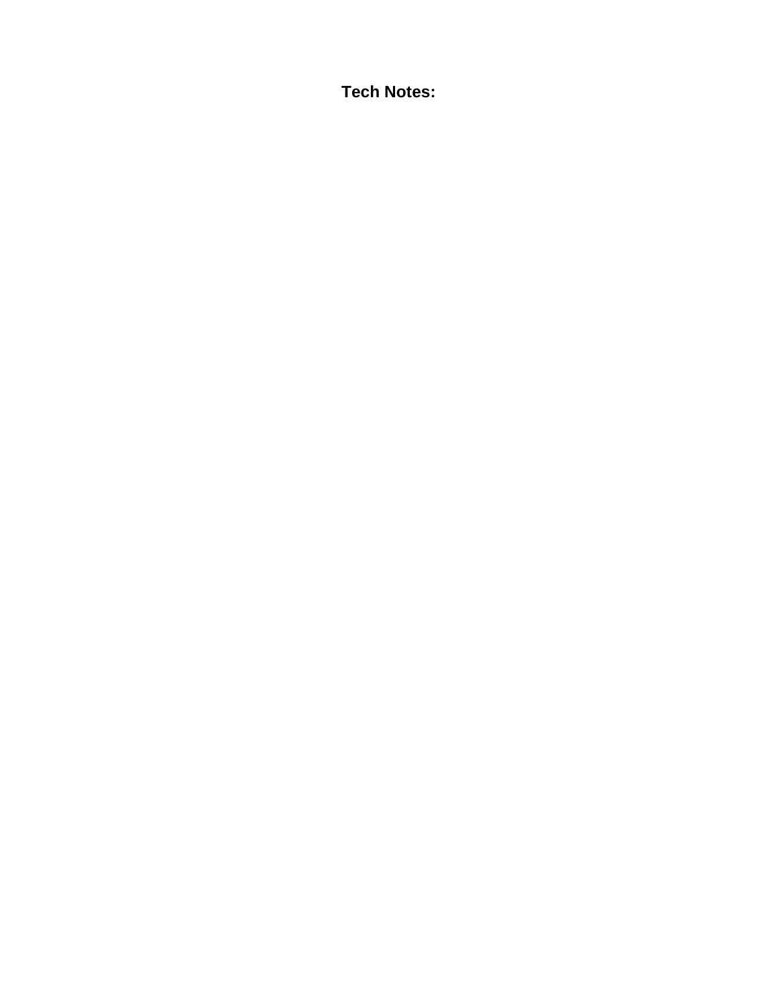**Tech Notes:**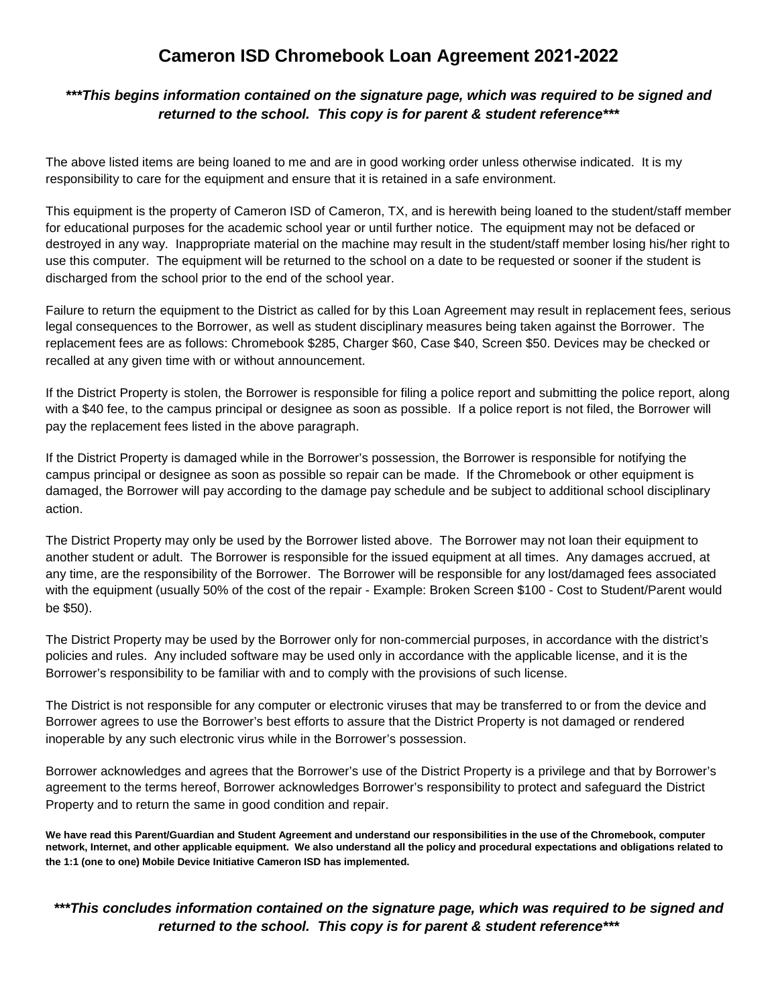### *\*\*\*This begins information contained on the signature page, which was required to be signed and returned to the school. This copy is for parent & student reference\*\*\**

The above listed items are being loaned to me and are in good working order unless otherwise indicated. It is my responsibility to care for the equipment and ensure that it is retained in a safe environment.

This equipment is the property of Cameron ISD of Cameron, TX, and is herewith being loaned to the student/staff member for educational purposes for the academic school year or until further notice. The equipment may not be defaced or destroyed in any way. Inappropriate material on the machine may result in the student/staff member losing his/her right to use this computer. The equipment will be returned to the school on a date to be requested or sooner if the student is discharged from the school prior to the end of the school year.

Failure to return the equipment to the District as called for by this Loan Agreement may result in replacement fees, serious legal consequences to the Borrower, as well as student disciplinary measures being taken against the Borrower. The replacement fees are as follows: Chromebook \$285, Charger \$60, Case \$40, Screen \$50. Devices may be checked or recalled at any given time with or without announcement.

If the District Property is stolen, the Borrower is responsible for filing a police report and submitting the police report, along with a \$40 fee, to the campus principal or designee as soon as possible. If a police report is not filed, the Borrower will pay the replacement fees listed in the above paragraph.

If the District Property is damaged while in the Borrower's possession, the Borrower is responsible for notifying the campus principal or designee as soon as possible so repair can be made. If the Chromebook or other equipment is damaged, the Borrower will pay according to the damage pay schedule and be subject to additional school disciplinary action.

The District Property may only be used by the Borrower listed above. The Borrower may not loan their equipment to another student or adult. The Borrower is responsible for the issued equipment at all times. Any damages accrued, at any time, are the responsibility of the Borrower. The Borrower will be responsible for any lost/damaged fees associated with the equipment (usually 50% of the cost of the repair - Example: Broken Screen \$100 - Cost to Student/Parent would be \$50).

The District Property may be used by the Borrower only for non-commercial purposes, in accordance with the district's policies and rules. Any included software may be used only in accordance with the applicable license, and it is the Borrower's responsibility to be familiar with and to comply with the provisions of such license.

The District is not responsible for any computer or electronic viruses that may be transferred to or from the device and Borrower agrees to use the Borrower's best efforts to assure that the District Property is not damaged or rendered inoperable by any such electronic virus while in the Borrower's possession.

Borrower acknowledges and agrees that the Borrower's use of the District Property is a privilege and that by Borrower's agreement to the terms hereof, Borrower acknowledges Borrower's responsibility to protect and safeguard the District Property and to return the same in good condition and repair.

**We have read this Parent/Guardian and Student Agreement and understand our responsibilities in the use of the Chromebook, computer network, Internet, and other applicable equipment. We also understand all the policy and procedural expectations and obligations related to the 1:1 (one to one) Mobile Device Initiative Cameron ISD has implemented.**

### *\*\*\*This concludes information contained on the signature page, which was required to be signed and returned to the school. This copy is for parent & student reference\*\*\**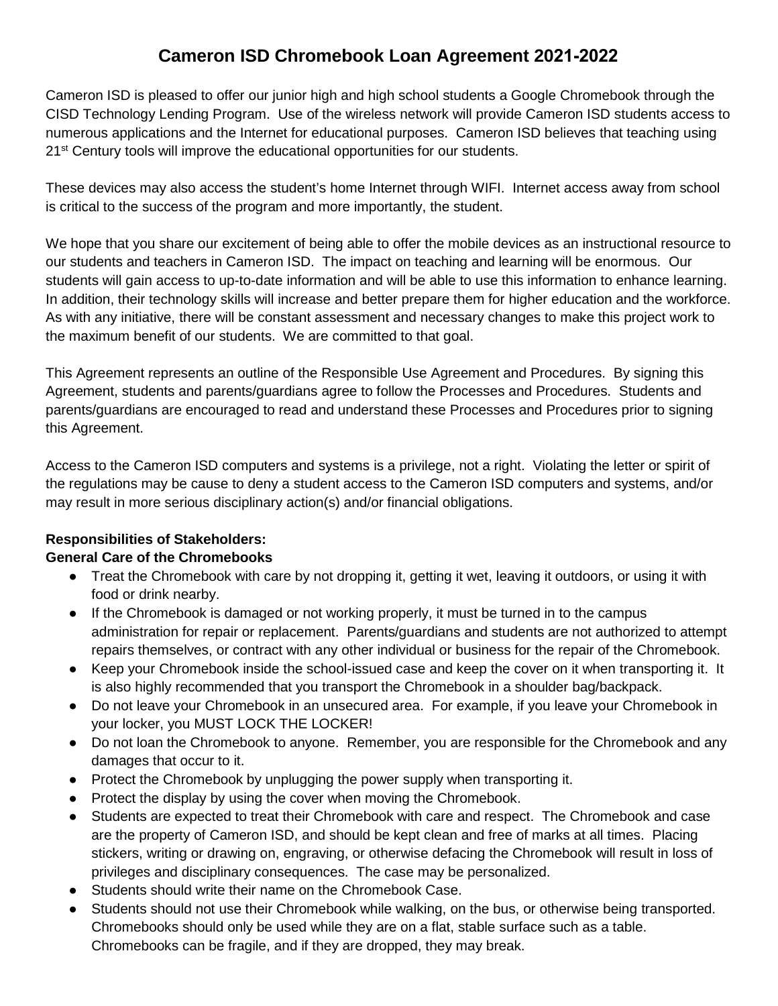Cameron ISD is pleased to offer our junior high and high school students a Google Chromebook through the CISD Technology Lending Program. Use of the wireless network will provide Cameron ISD students access to numerous applications and the Internet for educational purposes. Cameron ISD believes that teaching using 21<sup>st</sup> Century tools will improve the educational opportunities for our students.

These devices may also access the student's home Internet through WIFI. Internet access away from school is critical to the success of the program and more importantly, the student.

We hope that you share our excitement of being able to offer the mobile devices as an instructional resource to our students and teachers in Cameron ISD. The impact on teaching and learning will be enormous. Our students will gain access to up-to-date information and will be able to use this information to enhance learning. In addition, their technology skills will increase and better prepare them for higher education and the workforce. As with any initiative, there will be constant assessment and necessary changes to make this project work to the maximum benefit of our students. We are committed to that goal.

This Agreement represents an outline of the Responsible Use Agreement and Procedures. By signing this Agreement, students and parents/guardians agree to follow the Processes and Procedures. Students and parents/guardians are encouraged to read and understand these Processes and Procedures prior to signing this Agreement.

Access to the Cameron ISD computers and systems is a privilege, not a right. Violating the letter or spirit of the regulations may be cause to deny a student access to the Cameron ISD computers and systems, and/or may result in more serious disciplinary action(s) and/or financial obligations.

## **Responsibilities of Stakeholders:**

## **General Care of the Chromebooks**

- Treat the Chromebook with care by not dropping it, getting it wet, leaving it outdoors, or using it with food or drink nearby.
- If the Chromebook is damaged or not working properly, it must be turned in to the campus administration for repair or replacement. Parents/guardians and students are not authorized to attempt repairs themselves, or contract with any other individual or business for the repair of the Chromebook.
- Keep your Chromebook inside the school-issued case and keep the cover on it when transporting it. It is also highly recommended that you transport the Chromebook in a shoulder bag/backpack.
- Do not leave your Chromebook in an unsecured area. For example, if you leave your Chromebook in your locker, you MUST LOCK THE LOCKER!
- Do not loan the Chromebook to anyone. Remember, you are responsible for the Chromebook and any damages that occur to it.
- Protect the Chromebook by unplugging the power supply when transporting it.
- Protect the display by using the cover when moving the Chromebook.
- Students are expected to treat their Chromebook with care and respect. The Chromebook and case are the property of Cameron ISD, and should be kept clean and free of marks at all times. Placing stickers, writing or drawing on, engraving, or otherwise defacing the Chromebook will result in loss of privileges and disciplinary consequences. The case may be personalized.
- Students should write their name on the Chromebook Case.
- Students should not use their Chromebook while walking, on the bus, or otherwise being transported. Chromebooks should only be used while they are on a flat, stable surface such as a table. Chromebooks can be fragile, and if they are dropped, they may break.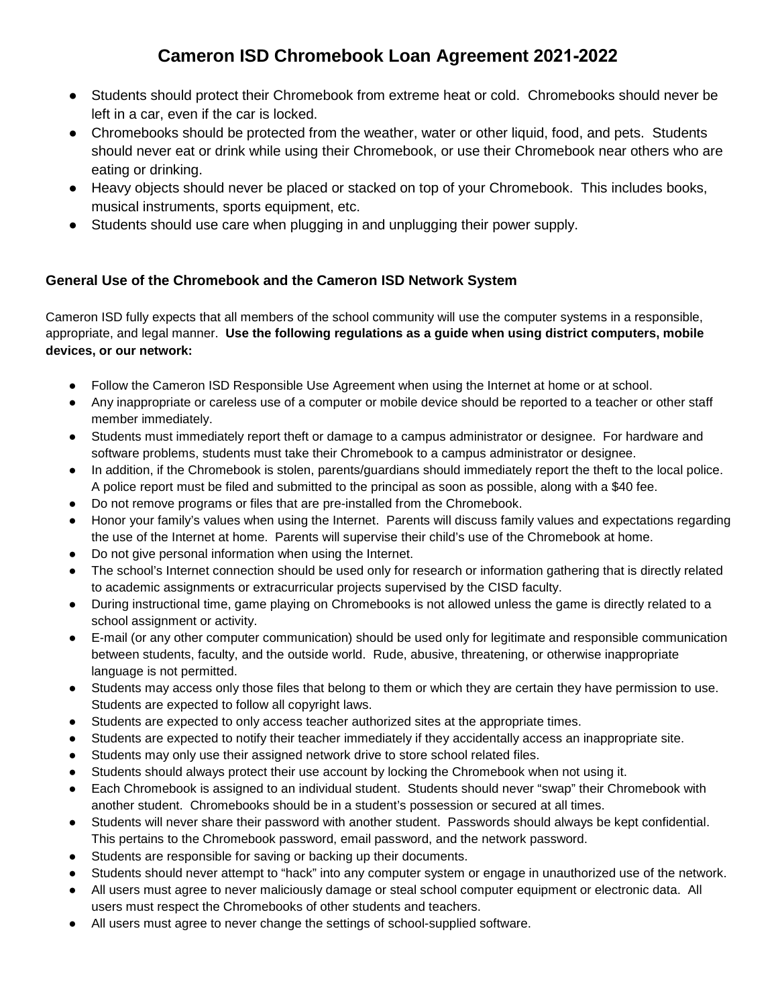- Students should protect their Chromebook from extreme heat or cold. Chromebooks should never be left in a car, even if the car is locked.
- Chromebooks should be protected from the weather, water or other liquid, food, and pets. Students should never eat or drink while using their Chromebook, or use their Chromebook near others who are eating or drinking.
- Heavy objects should never be placed or stacked on top of your Chromebook. This includes books, musical instruments, sports equipment, etc.
- Students should use care when plugging in and unplugging their power supply.

### **General Use of the Chromebook and the Cameron ISD Network System**

Cameron ISD fully expects that all members of the school community will use the computer systems in a responsible, appropriate, and legal manner. **Use the following regulations as a guide when using district computers, mobile devices, or our network:**

- Follow the Cameron ISD Responsible Use Agreement when using the Internet at home or at school.
- Any inappropriate or careless use of a computer or mobile device should be reported to a teacher or other staff member immediately.
- Students must immediately report theft or damage to a campus administrator or designee. For hardware and software problems, students must take their Chromebook to a campus administrator or designee.
- In addition, if the Chromebook is stolen, parents/guardians should immediately report the theft to the local police. A police report must be filed and submitted to the principal as soon as possible, along with a \$40 fee.
- Do not remove programs or files that are pre-installed from the Chromebook.
- Honor your family's values when using the Internet. Parents will discuss family values and expectations regarding the use of the Internet at home. Parents will supervise their child's use of the Chromebook at home.
- Do not give personal information when using the Internet.
- The school's Internet connection should be used only for research or information gathering that is directly related to academic assignments or extracurricular projects supervised by the CISD faculty.
- During instructional time, game playing on Chromebooks is not allowed unless the game is directly related to a school assignment or activity.
- E-mail (or any other computer communication) should be used only for legitimate and responsible communication between students, faculty, and the outside world. Rude, abusive, threatening, or otherwise inappropriate language is not permitted.
- Students may access only those files that belong to them or which they are certain they have permission to use. Students are expected to follow all copyright laws.
- Students are expected to only access teacher authorized sites at the appropriate times.
- Students are expected to notify their teacher immediately if they accidentally access an inappropriate site.
- Students may only use their assigned network drive to store school related files.
- Students should always protect their use account by locking the Chromebook when not using it.
- Each Chromebook is assigned to an individual student. Students should never "swap" their Chromebook with another student. Chromebooks should be in a student's possession or secured at all times.
- Students will never share their password with another student. Passwords should always be kept confidential. This pertains to the Chromebook password, email password, and the network password.
- Students are responsible for saving or backing up their documents.
- Students should never attempt to "hack" into any computer system or engage in unauthorized use of the network.
- All users must agree to never maliciously damage or steal school computer equipment or electronic data. All users must respect the Chromebooks of other students and teachers.
- All users must agree to never change the settings of school-supplied software.